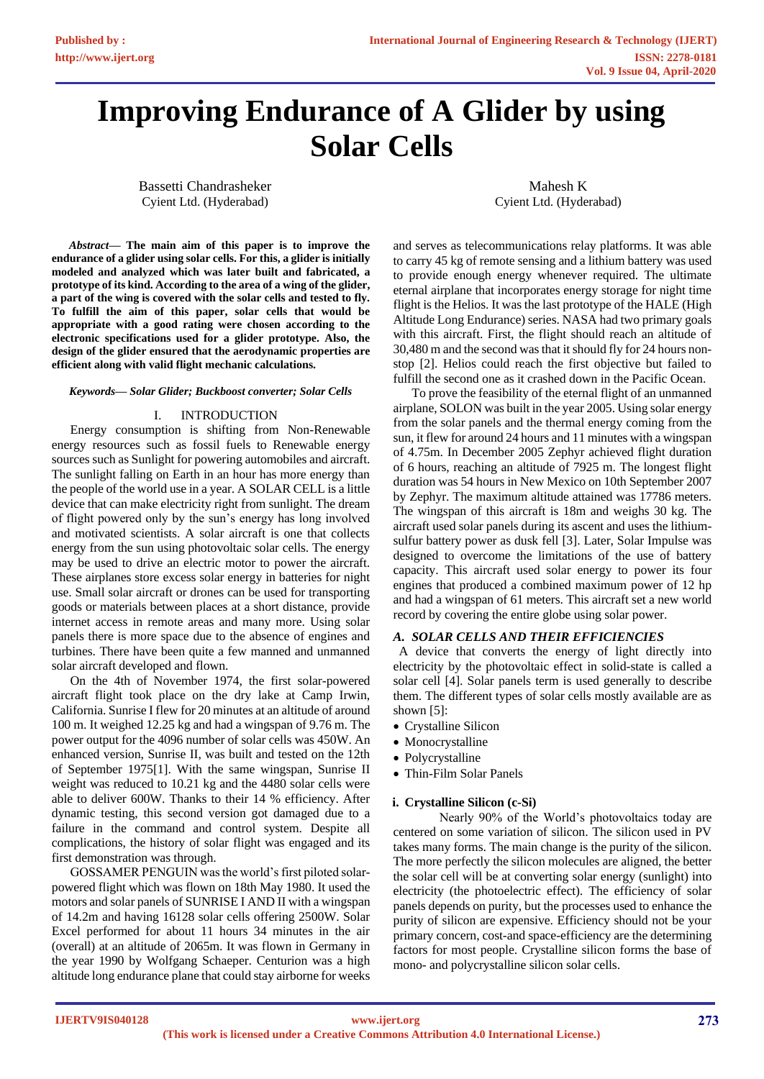# **Improving Endurance of A Glider by using Solar Cells**

Bassetti Chandrasheker Cyient Ltd. (Hyderabad)

Mahesh K Cyient Ltd. (Hyderabad)

*Abstract***— The main aim of this paper is to improve the endurance of a glider using solar cells. For this, a glider is initially modeled and analyzed which was later built and fabricated, a prototype of its kind. According to the area of a wing of the glider, a part of the wing is covered with the solar cells and tested to fly. To fulfill the aim of this paper, solar cells that would be appropriate with a good rating were chosen according to the electronic specifications used for a glider prototype. Also, the design of the glider ensured that the aerodynamic properties are efficient along with valid flight mechanic calculations.** 

#### *Keywords— Solar Glider; Buckboost converter; Solar Cells*

# I. INTRODUCTION

Energy consumption is shifting from Non-Renewable energy resources such as fossil fuels to Renewable energy sources such as Sunlight for powering automobiles and aircraft. The sunlight falling on Earth in an hour has more energy than the people of the world use in a year. A SOLAR CELL is a little device that can make electricity right from sunlight. The dream of flight powered only by the sun's energy has long involved and motivated scientists. A solar aircraft is one that collects energy from the sun using photovoltaic solar cells. The energy may be used to drive an electric motor to power the aircraft. These airplanes store excess solar energy in batteries for night use. Small solar aircraft or drones can be used for transporting goods or materials between places at a short distance, provide internet access in remote areas and many more. Using solar panels there is more space due to the absence of engines and turbines. There have been quite a few manned and unmanned solar aircraft developed and flown.

On the 4th of November 1974, the first solar-powered aircraft flight took place on the dry lake at Camp Irwin, California. Sunrise I flew for 20 minutes at an altitude of around 100 m. It weighed 12.25 kg and had a wingspan of 9.76 m. The power output for the 4096 number of solar cells was 450W. An enhanced version, Sunrise II, was built and tested on the 12th of September 1975[1]. With the same wingspan, Sunrise II weight was reduced to 10.21 kg and the 4480 solar cells were able to deliver 600W. Thanks to their 14 % efficiency. After dynamic testing, this second version got damaged due to a failure in the command and control system. Despite all complications, the history of solar flight was engaged and its first demonstration was through.

GOSSAMER PENGUIN was the world's first piloted solarpowered flight which was flown on 18th May 1980. It used the motors and solar panels of SUNRISE I AND II with a wingspan of 14.2m and having 16128 solar cells offering 2500W. Solar Excel performed for about 11 hours 34 minutes in the air (overall) at an altitude of 2065m. It was flown in Germany in the year 1990 by Wolfgang Schaeper. Centurion was a high altitude long endurance plane that could stay airborne for weeks

and serves as telecommunications relay platforms. It was able to carry 45 kg of remote sensing and a lithium battery was used to provide enough energy whenever required. The ultimate eternal airplane that incorporates energy storage for night time flight is the Helios. It was the last prototype of the HALE (High Altitude Long Endurance) series. NASA had two primary goals with this aircraft. First, the flight should reach an altitude of 30,480 m and the second was that it should fly for 24 hours nonstop [2]. Helios could reach the first objective but failed to fulfill the second one as it crashed down in the Pacific Ocean.

To prove the feasibility of the eternal flight of an unmanned airplane, SOLON was built in the year 2005. Using solar energy from the solar panels and the thermal energy coming from the sun, it flew for around 24 hours and 11 minutes with a wingspan of 4.75m. In December 2005 Zephyr achieved flight duration of 6 hours, reaching an altitude of 7925 m. The longest flight duration was 54 hours in New Mexico on 10th September 2007 by Zephyr. The maximum altitude attained was 17786 meters. The wingspan of this aircraft is 18m and weighs 30 kg. The aircraft used solar panels during its ascent and uses the lithiumsulfur battery power as dusk fell [3]. Later, Solar Impulse was designed to overcome the limitations of the use of battery capacity. This aircraft used solar energy to power its four engines that produced a combined maximum power of 12 hp and had a wingspan of 61 meters. This aircraft set a new world record by covering the entire globe using solar power.

### *A. SOLAR CELLS AND THEIR EFFICIENCIES*

A device that converts the energy of light directly into electricity by the photovoltaic effect in solid-state is called a solar cell [4]. Solar panels term is used generally to describe them. The different types of solar cells mostly available are as shown [5]:

- Crystalline Silicon
- Monocrystalline
- Polycrystalline
- Thin-Film Solar Panels

#### **i. Crystalline Silicon (c-Si)**

Nearly 90% of the World's photovoltaics today are centered on some variation of silicon. The silicon used in PV takes many forms. The main change is the purity of the silicon. The more perfectly the silicon molecules are aligned, the better the solar cell will be at converting solar energy (sunlight) into electricity (the photoelectric effect). The efficiency of solar panels depends on purity, but the processes used to enhance the purity of silicon are expensive. Efficiency should not be your primary concern, cost-and space-efficiency are the determining factors for most people. Crystalline silicon forms the base of mono- and polycrystalline silicon solar cells.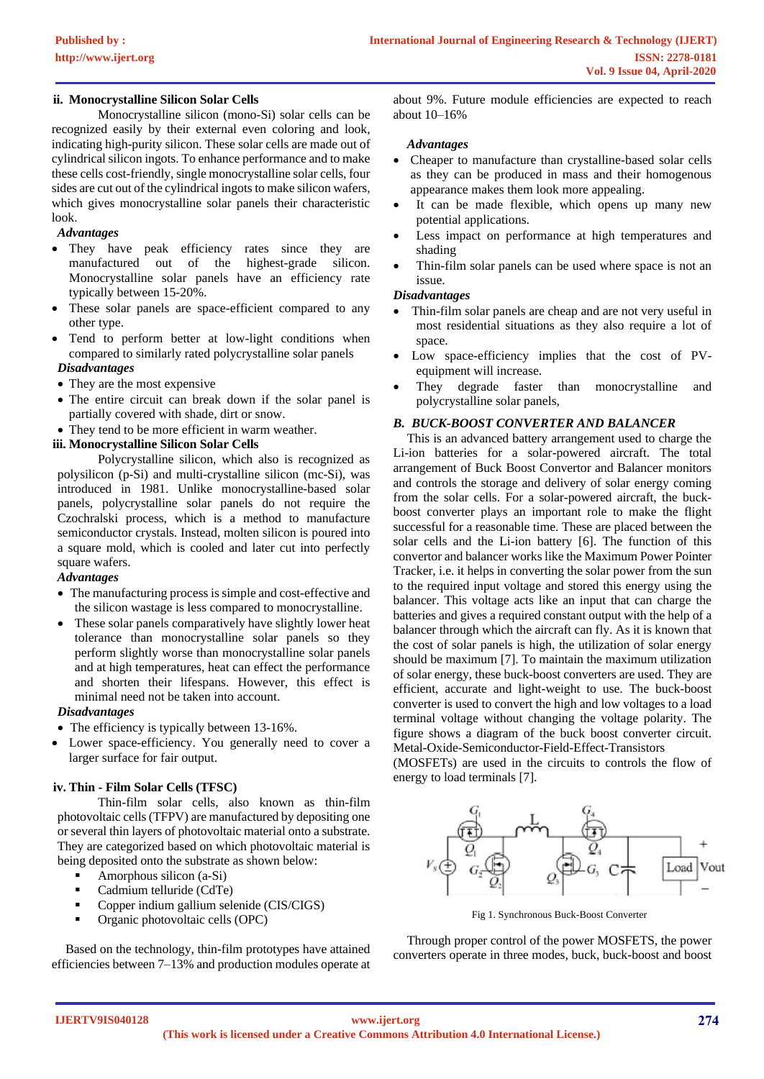# **ii. Monocrystalline Silicon Solar Cells**

Monocrystalline silicon (mono-Si) solar cells can be recognized easily by their external even coloring and look, indicating high-purity silicon. These solar cells are made out of cylindrical silicon ingots. To enhance performance and to make these cells cost-friendly, single monocrystalline solar cells, four sides are cut out of the cylindrical ingots to make silicon wafers, which gives monocrystalline solar panels their characteristic look.

# *Advantages*

- They have peak efficiency rates since they are manufactured out of the highest-grade silicon. Monocrystalline solar panels have an efficiency rate typically between 15-20%.
- These solar panels are space-efficient compared to any other type.
- Tend to perform better at low-light conditions when compared to similarly rated polycrystalline solar panels *Disadvantages*
- They are the most expensive
- The entire circuit can break down if the solar panel is partially covered with shade, dirt or snow.
- They tend to be more efficient in warm weather.

#### **iii. Monocrystalline Silicon Solar Cells**

Polycrystalline silicon, which also is recognized as polysilicon (p-Si) and multi-crystalline silicon (mc-Si), was introduced in 1981. Unlike monocrystalline-based solar panels, polycrystalline solar panels do not require the Czochralski process, which is a method to manufacture semiconductor crystals. Instead, molten silicon is poured into a square mold, which is cooled and later cut into perfectly square wafers.

#### *Advantages*

- The manufacturing process is simple and cost-effective and the silicon wastage is less compared to monocrystalline.
- These solar panels comparatively have slightly lower heat tolerance than monocrystalline solar panels so they perform slightly worse than monocrystalline solar panels and at high temperatures, heat can effect the performance and shorten their lifespans. However, this effect is minimal need not be taken into account.

### *Disadvantages*

- The efficiency is typically between 13-16%.
- Lower space-efficiency. You generally need to cover a larger surface for fair output.

#### **iv. Thin - Film Solar Cells (TFSC)**

Thin-film solar cells, also known as thin-film photovoltaic cells (TFPV) are manufactured by depositing one or several thin layers of photovoltaic material onto a substrate. They are categorized based on which photovoltaic material is being deposited onto the substrate as shown below:

- Amorphous silicon (a-Si)
- Cadmium telluride (CdTe)
- Copper indium gallium selenide (CIS/CIGS)
- Organic photovoltaic cells (OPC)

Based on the technology, thin-film prototypes have attained efficiencies between 7–13% and production modules operate at

about 9%. Future module efficiencies are expected to reach about 10–16%

#### *Advantages*

- Cheaper to manufacture than crystalline-based solar cells as they can be produced in mass and their homogenous appearance makes them look more appealing.
- It can be made flexible, which opens up many new potential applications.
- Less impact on performance at high temperatures and shading
- Thin-film solar panels can be used where space is not an issue.

#### *Disadvantages*

- Thin-film solar panels are cheap and are not very useful in most residential situations as they also require a lot of space.
- Low space-efficiency implies that the cost of PVequipment will increase.
- They degrade faster than monocrystalline and polycrystalline solar panels,

#### *B. BUCK-BOOST CONVERTER AND BALANCER*

This is an advanced battery arrangement used to charge the Li-ion batteries for a solar-powered aircraft. The total arrangement of Buck Boost Convertor and Balancer monitors and controls the storage and delivery of solar energy coming from the solar cells. For a solar-powered aircraft, the buckboost converter plays an important role to make the flight successful for a reasonable time. These are placed between the solar cells and the Li-ion battery [6]. The function of this convertor and balancer works like the Maximum Power Pointer Tracker, i.e. it helps in converting the solar power from the sun to the required input voltage and stored this energy using the balancer. This voltage acts like an input that can charge the batteries and gives a required constant output with the help of a balancer through which the aircraft can fly. As it is known that the cost of solar panels is high, the utilization of solar energy should be maximum [7]. To maintain the maximum utilization of solar energy, these buck-boost converters are used. They are efficient, accurate and light-weight to use. The buck-boost converter is used to convert the high and low voltages to a load terminal voltage without changing the voltage polarity. The figure shows a diagram of the buck boost converter circuit. Metal-Oxide-Semiconductor-Field-Effect-Transistors

(MOSFETs) are used in the circuits to controls the flow of energy to load terminals [7].



Fig 1. Synchronous Buck-Boost Converter

Through proper control of the power MOSFETS, the power converters operate in three modes, buck, buck-boost and boost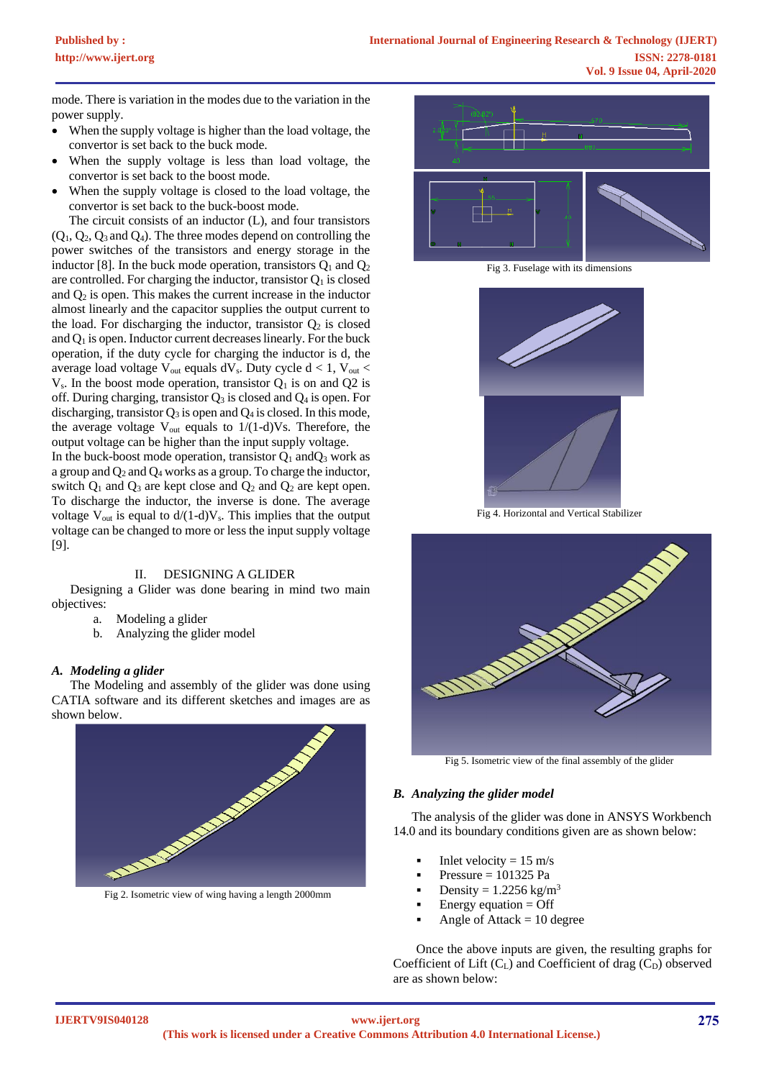mode. There is variation in the modes due to the variation in the power supply.

- When the supply voltage is higher than the load voltage, the convertor is set back to the buck mode.
- When the supply voltage is less than load voltage, the convertor is set back to the boost mode.
- When the supply voltage is closed to the load voltage, the convertor is set back to the buck-boost mode.

The circuit consists of an inductor (L), and four transistors  $(Q_1, Q_2, Q_3, Q_4)$ . The three modes depend on controlling the power switches of the transistors and energy storage in the inductor [8]. In the buck mode operation, transistors  $Q_1$  and  $Q_2$ are controlled. For charging the inductor, transistor  $Q_1$  is closed and  $Q_2$  is open. This makes the current increase in the inductor almost linearly and the capacitor supplies the output current to the load. For discharging the inductor, transistor  $Q_2$  is closed and  $Q_1$  is open. Inductor current decreases linearly. For the buck operation, if the duty cycle for charging the inductor is d, the average load voltage  $V_{out}$  equals dV<sub>s</sub>. Duty cycle  $d < 1$ , V<sub>out</sub> <  $V_s$ . In the boost mode operation, transistor  $Q_1$  is on and  $Q_2$  is off. During charging, transistor  $Q_3$  is closed and  $Q_4$  is open. For discharging, transistor  $Q_3$  is open and  $Q_4$  is closed. In this mode, the average voltage  $V_{out}$  equals to  $1/(1-d)V_s$ . Therefore, the output voltage can be higher than the input supply voltage.

In the buck-boost mode operation, transistor  $Q_1$  and $Q_3$  work as a group and  $O_2$  and  $O_4$  works as a group. To charge the inductor, switch  $Q_1$  and  $Q_3$  are kept close and  $Q_2$  and  $Q_2$  are kept open. To discharge the inductor, the inverse is done. The average voltage  $V_{out}$  is equal to  $d/(1-d)V_s$ . This implies that the output voltage can be changed to more or less the input supply voltage [9].

#### II. DESIGNING A GLIDER

Designing a Glider was done bearing in mind two main objectives:

- a. Modeling a glider
- b. Analyzing the glider model

#### *A. Modeling a glider*

The Modeling and assembly of the glider was done using CATIA software and its different sketches and images are as shown below.



Fig 2. Isometric view of wing having a length 2000mm



Fig 3. Fuselage with its dimensions



Fig 4. Horizontal and Vertical Stabilizer



Fig 5. Isometric view of the final assembly of the glider

#### *B. Analyzing the glider model*

The analysis of the glider was done in ANSYS Workbench 14.0 and its boundary conditions given are as shown below:

- Inlet velocity  $= 15$  m/s
- Pressure  $= 101325$  Pa
- Density =  $1.2256$  kg/m<sup>3</sup>
- Energy equation  $=$  Off
- Angle of Attack  $= 10$  degree

Once the above inputs are given, the resulting graphs for Coefficient of Lift  $(C_L)$  and Coefficient of drag  $(C_D)$  observed are as shown below: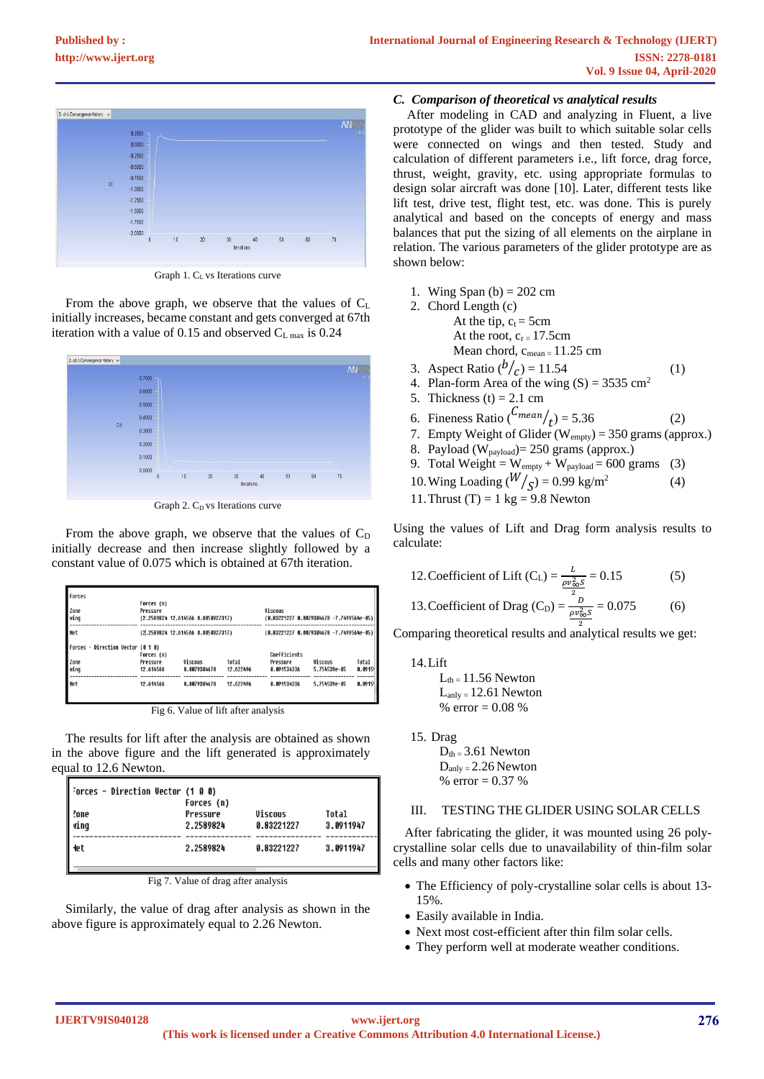

Graph 1. C<sub>L</sub> vs Iterations curve

From the above graph, we observe that the values of C<sup>L</sup> initially increases, became constant and gets converged at 67th iteration with a value of 0.15 and observed  $C_{L \text{ max}}$  is 0.24



Graph 2.  $C_D$  vs Iterations curve

From the above graph, we observe that the values of  $C_D$ initially decrease and then increase slightly followed by a constant value of 0.075 which is obtained at 67th iteration.

| Forces<br>Zone<br>wing            | Forces (n)<br>Pressure             | (2.2589824 12.614566 0.0050927317) |           | <b>Viscous</b><br>$(0.83221227 0.0079304678 -7.7499564e-05)$ |                |        |
|-----------------------------------|------------------------------------|------------------------------------|-----------|--------------------------------------------------------------|----------------|--------|
| <b>Net</b>                        | (2,2589824 12.614566 8.0050927317) |                                    |           | (0.83221227 0.0079304678 -7.7499564e-05)                     |                |        |
| Forces - Direction Vector (0 1 0) | Forces (n)                         |                                    |           | Coefficients                                                 |                |        |
| Zone                              | Pressure                           | <b>Viscous</b>                     | Total     | Pressure                                                     | <b>Viscous</b> | Total  |
| wing                              | 12.614566                          | 8.8879384678                       | 12.622496 | 8.891534336                                                  | 5.754539e-05   | 8.8915 |
| <b>Net</b>                        | 12.614566                          | 8.8879384678                       | 12.622496 | 8.891534336                                                  | 5.754539e-05   | 8.8915 |

Fig 6. Value of lift after analysis

The results for lift after the analysis are obtained as shown in the above figure and the lift generated is approximately equal to 12.6 Newton.

| Forces – Direction Vector (1 0 0)<br>?one<br>ving | Forces (n)<br>Pressure<br>2.2589824 | Viscous<br>0.83221227 | Total<br>3.0911947 |
|---------------------------------------------------|-------------------------------------|-----------------------|--------------------|
| <b>let</b>                                        | 2.2589824                           | 0.83221227            | 3.0911947          |

Fig 7. Value of drag after analysis

Similarly, the value of drag after analysis as shown in the above figure is approximately equal to 2.26 Newton.

# *C. Comparison of theoretical vs analytical results*

After modeling in CAD and analyzing in Fluent, a live prototype of the glider was built to which suitable solar cells were connected on wings and then tested. Study and calculation of different parameters i.e., lift force, drag force, thrust, weight, gravity, etc. using appropriate formulas to design solar aircraft was done [10]. Later, different tests like lift test, drive test, flight test, etc. was done. This is purely analytical and based on the concepts of energy and mass balances that put the sizing of all elements on the airplane in relation. The various parameters of the glider prototype are as shown below:

- 1. Wing Span  $(b) = 202$  cm
- 2. Chord Length (c)
	- At the tip,  $c_t = 5cm$
	- At the root,  $c_r = 17.5$ cm Mean chord,  $c_{mean = 11.25 cm}$ 
		-
- 3. Aspect Ratio  $(b/_{\text{C}}) = 11.54$  (1)
- 4. Plan-form Area of the wing  $(S) = 3535$  cm<sup>2</sup>
- 5. Thickness  $(t) = 2.1$  cm
- 6. Fineness Ratio  $\binom{C_{mean}}{t} = 5.36$  (2)
- 7. Empty Weight of Glider ( $W_{\text{empty}}$ ) = 350 grams (approx.)
- 8. Payload (W<sub>payload</sub>)= 250 grams (approx.)
- 9. Total Weight =  $W_{empty} + W_{payload} = 600$  grams (3)
- 10. Wing Loading  $\left(\frac{W}{S}\right) = 0.99 \text{ kg/m}^2$  (4)
- 11. Thrust  $(T) = 1$  kg = 9.8 Newton

Using the values of Lift and Drag form analysis results to calculate:

12. Coefficient of Lift (C<sub>L</sub>) = 
$$
\frac{L}{\rho v_{\infty}^2 s}
$$
 = 0.15 (5)

13. Coefficient of Drag (C<sub>D</sub>) = 
$$
\frac{^{2}D}{\frac{\rho v_{\infty}^{2}S}{^{2}}} = 0.075
$$
 (6)

Comparing theoretical results and analytical results we get:

14.Lift

 $L_{th} = 11.56$  Newton  $L_{\text{anly}} = 12.61$  Newton % error  $= 0.08$  %

15. Drag

 $D_{\text{th}} = 3.61$  Newton  $D_{\text{anly}} = 2.26$  Newton % error =  $0.37$  %

# III. TESTING THE GLIDER USING SOLAR CELLS

After fabricating the glider, it was mounted using 26 polycrystalline solar cells due to unavailability of thin-film solar cells and many other factors like:

- The Efficiency of poly-crystalline solar cells is about 13- 15%.
- Easily available in India.
- Next most cost-efficient after thin film solar cells.
- They perform well at moderate weather conditions.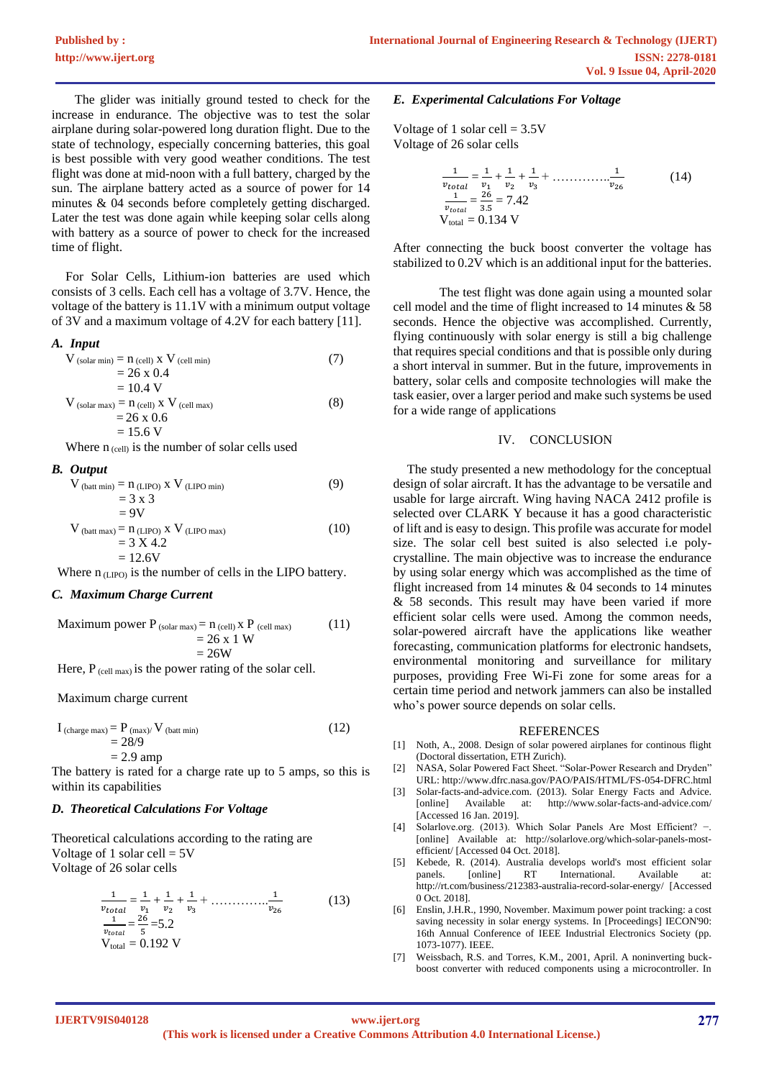The glider was initially ground tested to check for the increase in endurance. The objective was to test the solar airplane during solar-powered long duration flight. Due to the state of technology, especially concerning batteries, this goal is best possible with very good weather conditions. The test flight was done at mid-noon with a full battery, charged by the sun. The airplane battery acted as a source of power for 14 minutes & 04 seconds before completely getting discharged. Later the test was done again while keeping solar cells along with battery as a source of power to check for the increased time of flight.

For Solar Cells, Lithium-ion batteries are used which consists of 3 cells. Each cell has a voltage of 3.7V. Hence, the voltage of the battery is 11.1V with a minimum output voltage of 3V and a maximum voltage of 4.2V for each battery [11].

#### *A. Input*

$$
V_{\text{(solar min)}} = n_{\text{(cell)}} \times V_{\text{(cell min)}} \tag{7}
$$
  
= 26 x 0.4  
= 10.4 V  

$$
V_{\text{(solar max)}} = n_{\text{(cell)}} \times V_{\text{(cell max)}} \tag{8}
$$
  
= 26 x 0.6  
= 15.6 V

Where  $n_{\text{(cell)}}$  is the number of solar cells used

#### *B. Output*

$$
V_{\text{(batt min)}} = n_{\text{(LIPO) X}} V_{\text{(LIPO min)}}
$$
\n
$$
= 3 \times 3
$$
\n
$$
= 9V
$$
\n
$$
V_{\text{(batt max)}} = n_{\text{(LIPO) X}} V_{\text{(LIPO max)}}
$$
\n
$$
= 3 \times 4.2
$$
\n(10)

$$
= 12.6V
$$

Where  $n_{(LIPO)}$  is the number of cells in the LIPO battery.

# *C. Maximum Charge Current*

Maximum power P (solar max) = n (cell) x P (cell max) (11) = 26 x 1 W = 26W

Here,  $P_{\text{(cell max)}}$  is the power rating of the solar cell.

Maximum charge current

$$
I_{\text{(charge max)}} = P_{\text{(max)}} / V_{\text{(batt min)}} \tag{12}
$$
\n
$$
= 28/9
$$
\n
$$
= 2.9 \text{ amp}
$$

The battery is rated for a charge rate up to 5 amps, so this is within its capabilities

#### *D. Theoretical Calculations For Voltage*

Theoretical calculations according to the rating are Voltage of 1 solar cell  $= 5V$ Voltage of 26 solar cells

$$
\frac{1}{v_{total}} = \frac{1}{v_1} + \frac{1}{v_2} + \frac{1}{v_3} + \dots + \frac{1}{v_{26}}
$$
\n
$$
\frac{1}{v_{total}} = \frac{26}{5} = 5.2
$$
\n
$$
V_{total} = 0.192 \text{ V}
$$
\n(13)

#### *E. Experimental Calculations For Voltage*

Voltage of 1 solar cell  $= 3.5V$ Voltage of 26 solar cells

$$
\frac{1}{v_{total}} = \frac{1}{v_1} + \frac{1}{v_2} + \frac{1}{v_3} + \dots + \frac{1}{v_{26}}
$$
\n
$$
\frac{1}{v_{total}} = \frac{26}{3.5} = 7.42
$$
\n
$$
V_{total} = 0.134 V
$$
\n(14)

After connecting the buck boost converter the voltage has stabilized to 0.2V which is an additional input for the batteries.

The test flight was done again using a mounted solar cell model and the time of flight increased to 14 minutes  $\&$  58 seconds. Hence the objective was accomplished. Currently, flying continuously with solar energy is still a big challenge that requires special conditions and that is possible only during a short interval in summer. But in the future, improvements in battery, solar cells and composite technologies will make the task easier, over a larger period and make such systems be used for a wide range of applications

#### IV. CONCLUSION

The study presented a new methodology for the conceptual design of solar aircraft. It has the advantage to be versatile and usable for large aircraft. Wing having NACA 2412 profile is selected over CLARK Y because it has a good characteristic of lift and is easy to design. This profile was accurate for model size. The solar cell best suited is also selected i.e polycrystalline. The main objective was to increase the endurance by using solar energy which was accomplished as the time of flight increased from 14 minutes & 04 seconds to 14 minutes & 58 seconds. This result may have been varied if more efficient solar cells were used. Among the common needs, solar-powered aircraft have the applications like weather forecasting, communication platforms for electronic handsets, environmental monitoring and surveillance for military purposes, providing Free Wi-Fi zone for some areas for a certain time period and network jammers can also be installed who's power source depends on solar cells.

#### REFERENCES

- [1] Noth, A., 2008. Design of solar powered airplanes for continous flight (Doctoral dissertation, ETH Zurich).
- [2] NASA, Solar Powered Fact Sheet. "Solar-Power Research and Dryden" URL: http://www.dfrc.nasa.gov/PAO/PAIS/HTML/FS-054-DFRC.html
- [3] Solar-facts-and-advice.com. (2013). Solar Energy Facts and Advice. [online] Available at: http://www.solar-facts-and-advice.com/ [Accessed 16 Jan. 2019].
- [4] Solarlove.org. (2013). Which Solar Panels Are Most Efficient? −. [online] Available at: http://solarlove.org/which-solar-panels-mostefficient/ [Accessed 04 Oct. 2018].
- [5] Kebede, R. (2014). Australia develops world's most efficient solar panels. [online] RT International. Available at: http://rt.com/business/212383-australia-record-solar-energy/ [Accessed 0 Oct. 2018].
- [6] Enslin, J.H.R., 1990, November. Maximum power point tracking: a cost saving necessity in solar energy systems. In [Proceedings] IECON'90: 16th Annual Conference of IEEE Industrial Electronics Society (pp. 1073-1077). IEEE.
- [7] Weissbach, R.S. and Torres, K.M., 2001, April. A noninverting buckboost converter with reduced components using a microcontroller. In